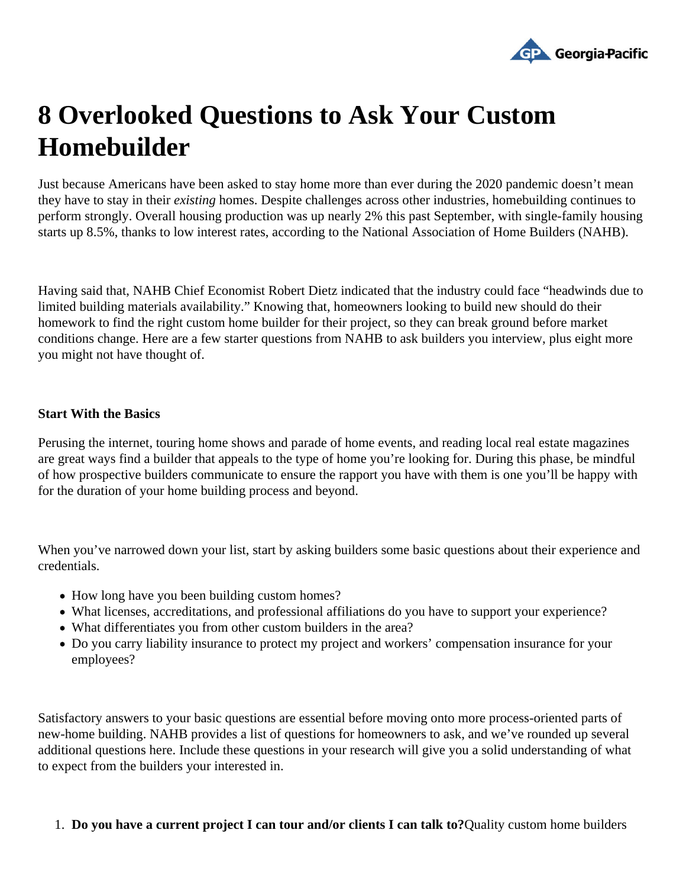## 8 Overlooked Questions to Ask Your Custom Homebuilder

Just because Americans have been asked to stay home more than ever during the 2020 pandemic doesn't m they have to stay in the existing homes. Despite challenges across other industries, homebuilding continues to perform strongly. Overall housing production was up nearly 2% this past September, with single-family housing starts up 8.5%, thanks to low interest rates, ording to the National Association of Home Builders (AHB).

Having said that, NAHB Chief Economist Robert Dietz indicated that the industry could face "headwinds due to limited building materials availability." Knowing that, homeowners looking to build new should do their homework to find the right custom home builder for their project, so they can break ground before market conditions change. Here are a few starter questions from NAHB to ask builders you interview, plus eight more you might not have thought of.

## Start With the Basics

Perusing the internet, touring home shows and parade of home events, and reading local real estate magazir are great ways find a builder that appeals to the type of home you're looking for. During this phase, be mindfu of how prospective builders communicate to ensure the rapport you have with them is one you'll be happy wit for the duration of your home building process and beyond.

When you've narrowed down your list, start by asking builders some basic questions about their experience and credentials.

- How long have you been building custom homes?
- What licenses, accreditations, and professional affiliations do you have to support your experience?
- What differentiates you from other custom builders in the area?
- Do you carry liability insurance to protect my project and workers' compensation insurance for your employees?

Satisfactory answers to your basic questions are essential before moving onto more process-oriented parts o new-home building. NAHB provides a list of questions for homeowners to ask, and we've rounded up several additional questions here. Include these questions in your research will give you a solid understanding of wha to expect from the builders your interested in.

1. Do you have a current project I can tour and/or clients I can talk to Quality custom home builders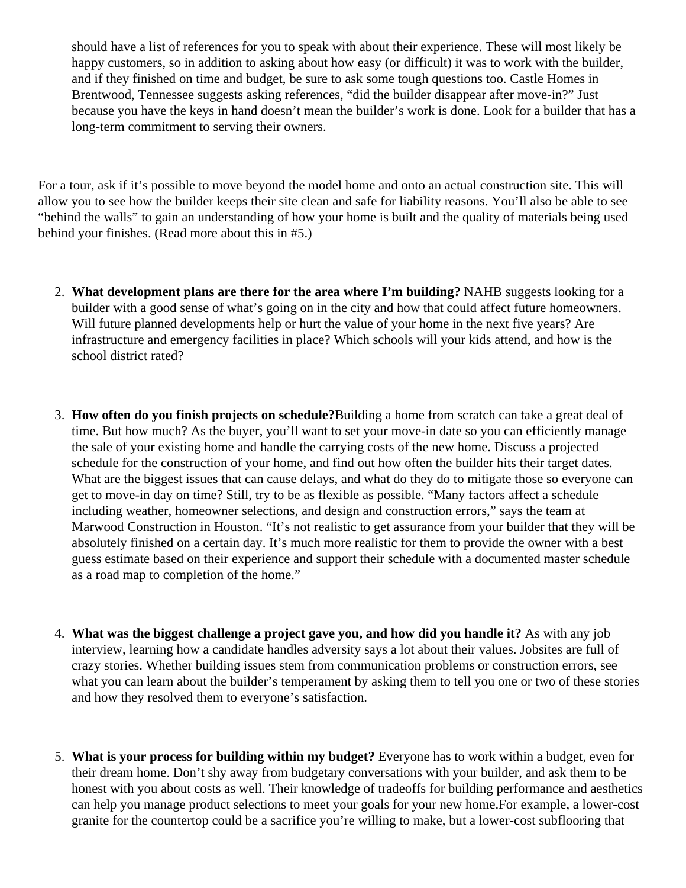should have a list of references for you to speak with about their experience. These will most likely be happy customers, so in addition to asking about how easy (or difficult) it was to work with the builder, and if they finished on time and budget, be sure to ask some tough questions too. Castle Homes in Brentwood, Tennesseeggests asking referencestid the builder disappear after move-in?" Just because you have the keys in hand doesn't mean the builder's work is done. Look for a builder that has long-term commitment to serving their owners.

For a tour, ask if it's possible to move beyond the model home and onto an actual construction site. This will allow you to see how the builder keeps their site clean and safe for liability reasons. You'll also be able to see "behind the walls" to gain an understanding of how your home is built and the quality of materials being used behind your finishes. (Read more about this in #5.)

- 2. What development plans are there for the area where I'm building? NAHB suggests looking for a builder with a good sense of what's going on in the city and how that could affect future homeowners. Will future planned developments help or hurt the value of your home in the next five years? Are infrastructure and emergency facilities in place? Which schools will your kids attend, and how is the school district rated?
- 3. How often do you finish projects on schedule Building a home from scratch can take a great deal of time. But how much? As the buyer, you'll want to set your move-in date so you can efficiently manage the sale of your existing home and handle the carrying costs of the new home. Discuss a projected schedule for the construction of your home, and find out how often the builder hits their target dates. What are the biggest issues that can cause delays, and what do they do to mitigate those so everyone of get to move-in day on time? Still, try to be as flexible as possible. "Many factors affect a schedule including weather, homeowner selections, and design and construction errors," says the team at [Marwood Constructio](https://www.marwoodconstruction.com/)inHouston. "It's not realistic to get assurance from your builder that they will be absolutely finished on a certain day. It's much more realistic for them to provide the owner with a best guess estimate based on their experience and support their schedule with a documented master sched as a road map to completion of the home."
- 4. What was the biggest challenge a project gave you, and how did you handle At with any job interview, learning how a candidate handles adversity says a lot about their values. Jobsites are full of crazy stories. Whether building issues stem from communication problems or construction errors, see what you can learn about the builder's temperament by asking them to tell you one or two of these stories and how they resolved them to everyone's satisfaction.
- 5. What is your process for building within my budget? Everyone has to work within a budget, even for their dream home. Don't shy away from budgetary conversations with your builder, and ask them to be honest with you about costs as well. Their knowledge of tradeoffs for building performance and aestheti can help you manage product selections to meet your goals for your new home. For example, a lower-co granite for the countertop could be a sacrifice you're willing to make, but a lower-cost subflooring that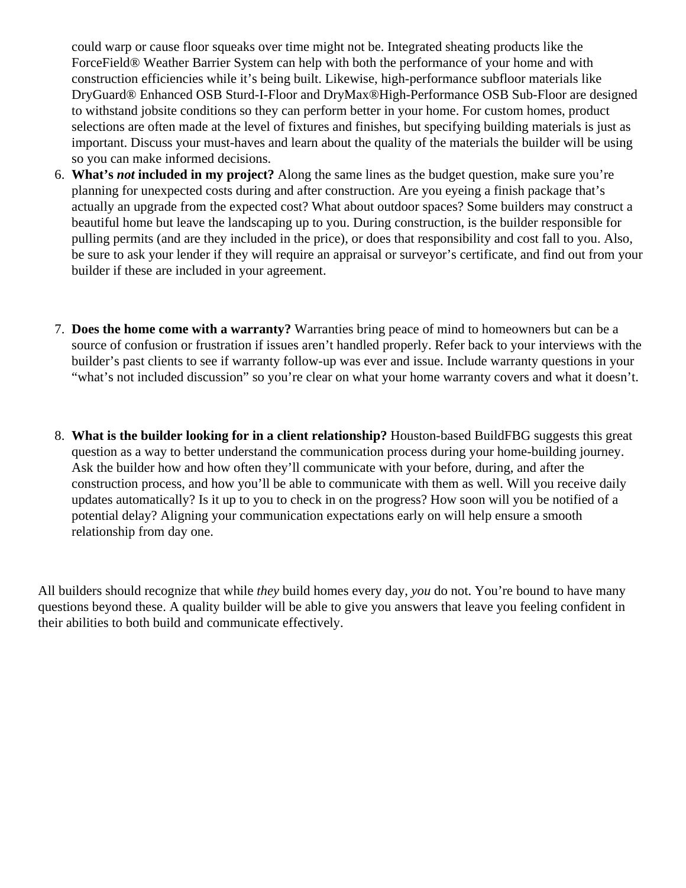could warp or cause floor squeaks over time might not be. Integrated sheating products like the ForceField® Weather Barrier System can help with both the performance of your home and with construction efficiencies while it's being built. Likewise, high-performance subfloor materials like DryGuard® [Enhanced OSB Sturd-I-Flo](https://buildgp.com/product/dryguard-enhanced-osb-sturd-i-floor/)andDryMax® High-Performance OSB Sub-Floare designed to withstand jobsite conditions so they can perform better in your home. For custom homes, product selections are often made at the level of fixtures and finishes, but specifying building materials is just as important. Discuss your must-haves and learn about the quality of the materials the builder will be using so you can make informed decisions.

- 6. What's not included in my project? Along the same lines as the budget question, make sure you're planning for unexpected costs during and after construction. Are you eyeing a finish package that's actually an upgrade from the expected cost? What about outdoor spaces? Some builders may construc beautiful home but leave the landscaping up to you. During construction, is the builder responsible for pulling permits (and are they included in the price), or does that responsibility and cost fall to you. Also, be sure to ask your lender if they will require an appraisal or surveyor's certificate, and find out from you builder if these are included in your agreement.
- 7. Does the home come with a warranty Warranties bring peace of mind to homeowners but can be a source of confusion or frustration if issues aren't handled properly. Refer back to your interviews with th builder's past clients to see if warranty follow-up was ever and issue. Include warranty questions in your "what's not included discussion" so you're clear on what your home warranty covers and what it doesn't.
- 8. What is the builder looking for in a client relationship? Houston-base Build FBG suggests this great question as a way to better understand the communication process during your home-building journey. Ask the builder how and how often they'll communicate with your before, during, and after the construction process, and how you'll be able to communicate with them as well. Will you receive daily updates automatically? Is it up to you to check in on the progress? How soon will you be notified of a potential delay? Aligning your communication expectations early on will help ensure a smooth relationship from day one.

All builders should recognize that while eybuild homes every day pudo not. You're bound to have many questions beyond these. A quality builder will be able to give you answers that leave you feeling confident in their abilities to both build and communicate effectively.